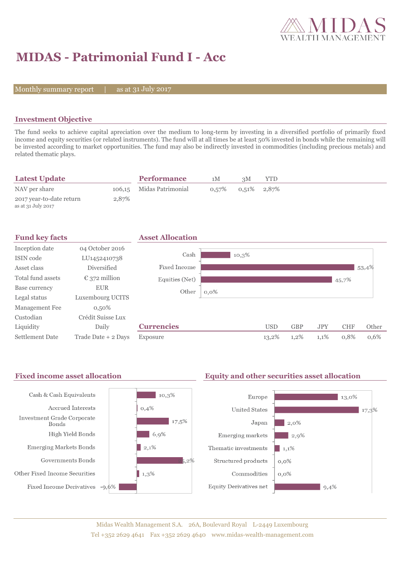

# **MIDAS - Patrimonial Fund I - Acc**

Monthly summary report  $|$ 

as at 31 July 2017

### **Investment Objective**

The fund seeks to achieve capital apreciation over the medium to long-term by investing in a diversified portfolio of primarily fixed income and equity securities (or related instruments). The fund will at all times be at least 50% invested in bonds while the remaining will be invested according to market opportunities. The fund may also be indirectly invested in commodities (including precious metals) and related thematic plays.

| <b>Latest Update</b>                           |       | <b>Performance</b>       | 1M | зM                         | YTD |  |  |
|------------------------------------------------|-------|--------------------------|----|----------------------------|-----|--|--|
| NAV per share                                  |       | 106,15 Midas Patrimonial |    | $0.57\%$ $0.51\%$ $2.87\%$ |     |  |  |
| 2017 year-to-date return<br>as at 31 July 2017 | 2,87% |                          |    |                            |     |  |  |

| <b>Fund key facts</b>  |                        | <b>Asset Allocation</b> |         |       |            |            |            |            |       |
|------------------------|------------------------|-------------------------|---------|-------|------------|------------|------------|------------|-------|
| Inception date         | 04 October 2016        |                         |         |       |            |            |            |            |       |
| ISIN code              | LU1452410738           | Cash                    |         | 10,3% |            |            |            |            |       |
| Asset class            | Diversified            | Fixed Income            |         |       |            |            |            |            | 53,4% |
| Total fund assets      | $\epsilon$ 372 million | Equities (Net)          |         |       |            |            |            | 45,7%      |       |
| Base currency          | <b>EUR</b>             | Other                   | $0,0\%$ |       |            |            |            |            |       |
| Legal status           | Luxembourg UCITS       |                         |         |       |            |            |            |            |       |
| Management Fee         | $0,50\%$               |                         |         |       |            |            |            |            |       |
| Custodian              | Crédit Suisse Lux      |                         |         |       |            |            |            |            |       |
| Liquidity              | Daily                  | <b>Currencies</b>       |         |       | <b>USD</b> | <b>GBP</b> | <b>JPY</b> | <b>CHF</b> | Other |
| <b>Settlement Date</b> | Trade Date + 2 Days    | Exposure                |         |       | 13,2%      | 1,2%       | 1,1%       | 0,8%       | 0,6%  |

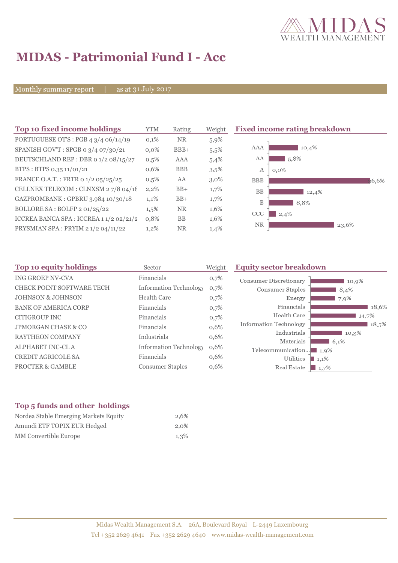

## **MIDAS - Patrimonial Fund I - Acc**

Monthly summary report | as at 31 July 2017

| Top 10 fixed income holdings                   | <b>YTM</b> | Rating     | Weight  | <b>Fixed income rating breakdown</b> |
|------------------------------------------------|------------|------------|---------|--------------------------------------|
| PORTUGUESE OT'S : PGB $4 \frac{3}{4}$ 06/14/19 | 0,1%       | <b>NR</b>  | 5,9%    |                                      |
| SPANISH GOV'T: SPGB o 3/4 07/30/21             | $0.0\%$    | $BBB+$     | 5.5%    | AAA<br>10,4%                         |
| DEUTSCHLAND REP : DBR 0 1/2 08/15/27           | 0,5%       | AAA        | 5,4%    | 5,8%<br>AA                           |
| BTPS: BTPS 0.35 11/01/21                       | 0,6%       | <b>BBB</b> | 3,5%    | А<br>$0.0\%$                         |
| FRANCE O.A.T.: FRTR 0 1/2 05/25/25             | $0,5\%$    | AA         | $3,0\%$ | <b>BBB</b><br>36.6%                  |
| CELLNEX TELECOM : CLNXSM 27/8 04/18            | 2,2%       | $BB+$      | 1,7%    | <b>BB</b><br>12,4%                   |
| GAZPROMBANK: GPBRU 3.984 10/30/18              | 1,1%       | $BB+$      | 1,7%    | B<br>8,8%                            |
| BOLLORE SA : BOLFP 2 01/25/22                  | $1,5\%$    | <b>NR</b>  | 1,6%    | CCC<br>2,4%                          |
| ICCREA BANCA SPA : ICCREA 1 1/2 02/21/2        | 0,8%       | <b>BB</b>  | 1,6%    |                                      |
| PRYSMIAN SPA: PRYIM 2 1/2 04/11/22             | 1,2%       | <b>NR</b>  | 1,4%    | <b>NR</b><br>23,6%                   |

| Top 10 equity holdings         | Sector                        | Weight | <b>Equity sector breakdown</b>                 |
|--------------------------------|-------------------------------|--------|------------------------------------------------|
| <b>ING GROEP NV-CVA</b>        | Financials                    | 0,7%   | Consumer Discretionary<br>10,9%                |
| CHECK POINT SOFTWARE TECH      | <b>Information Technology</b> | 0,7%   | Consumer Staples<br>8,4%                       |
| <b>JOHNSON &amp; JOHNSON</b>   | <b>Health Care</b>            | 0,7%   | Energy<br>7,9%                                 |
| <b>BANK OF AMERICA CORP</b>    | Financials                    | 0,7%   | Financials<br>18,6%                            |
| CITIGROUP INC                  | Financials                    | 0,7%   | Health Care<br>14,7%                           |
| <b>JPMORGAN CHASE &amp; CO</b> | Financials                    | 0,6%   | <b>Information Technology</b><br>18,5%         |
| <b>RAYTHEON COMPANY</b>        | Industrials                   | 0,6%   | Industrials<br>10.3%                           |
| <b>ALPHABET INC-CLA</b>        | <b>Information Technology</b> | 0,6%   | Materials<br>6,1%<br>Telecommunication<br>1,9% |
| <b>CREDIT AGRICOLE SA</b>      | Financials                    | 0,6%   | Utilities<br>$1,1\%$                           |
| <b>PROCTER &amp; GAMBLE</b>    | <b>Consumer Staples</b>       | 0,6%   | Real Estate<br>1,7%                            |

### **Top 5 funds and other holdings**

| Nordea Stable Emerging Markets Equity | 2.6% |
|---------------------------------------|------|
| Amundi ETF TOPIX EUR Hedged           | 2.0% |
| MM Convertible Europe                 | 1,3% |